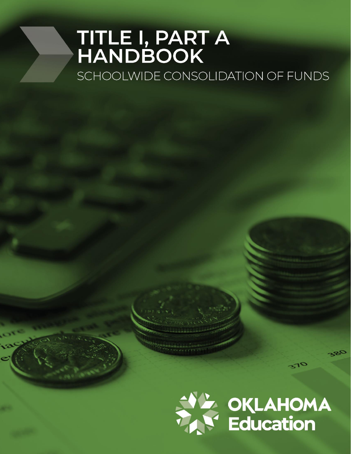# TITLE I, PART A<br>HANDBOOK SCHOOLWIDE CONSOLIDATION OF FUNDS

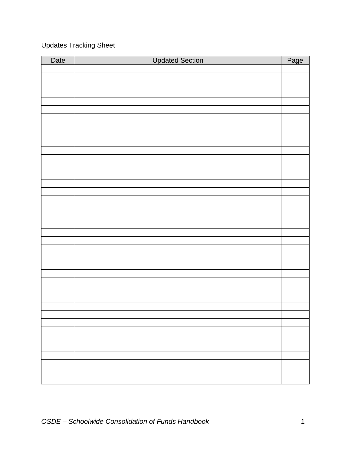# Updates Tracking Sheet

| Date | <b>Updated Section</b> | Page |
|------|------------------------|------|
|      |                        |      |
|      |                        |      |
|      |                        |      |
|      |                        |      |
|      |                        |      |
|      |                        |      |
|      |                        |      |
|      |                        |      |
|      |                        |      |
|      |                        |      |
|      |                        |      |
|      |                        |      |
|      |                        |      |
|      |                        |      |
|      |                        |      |
|      |                        |      |
|      |                        |      |
|      |                        |      |
|      |                        |      |
|      |                        |      |
|      |                        |      |
|      |                        |      |
|      |                        |      |
|      |                        |      |
|      |                        |      |
|      |                        |      |
|      |                        |      |
|      |                        |      |
|      |                        |      |
|      |                        |      |
|      |                        |      |
|      |                        |      |
|      |                        |      |
|      |                        |      |
|      |                        |      |
|      |                        |      |
|      |                        |      |
|      |                        |      |
|      |                        |      |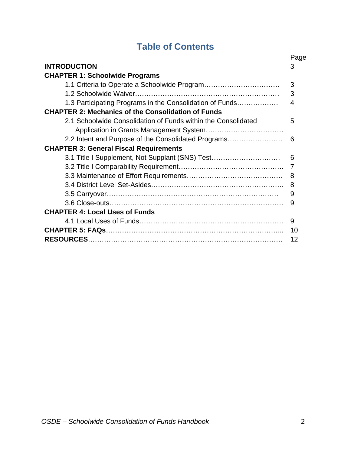# **Table of Contents**

|                                                               | Page |
|---------------------------------------------------------------|------|
| <b>INTRODUCTION</b>                                           | 3    |
| <b>CHAPTER 1: Schoolwide Programs</b>                         |      |
|                                                               | 3    |
|                                                               | 3    |
| 1.3 Participating Programs in the Consolidation of Funds      | 4    |
| <b>CHAPTER 2: Mechanics of the Consolidation of Funds</b>     |      |
| 2.1 Schoolwide Consolidation of Funds within the Consolidated | 5    |
|                                                               |      |
| 2.2 Intent and Purpose of the Consolidated Programs           | 6    |
| <b>CHAPTER 3: General Fiscal Requirements</b>                 |      |
| 3.1 Title I Supplement, Not Supplant (SNS) Test               | 6    |
|                                                               | 7    |
|                                                               | 8    |
|                                                               | 8    |
|                                                               | 9    |
|                                                               | 9    |
| <b>CHAPTER 4: Local Uses of Funds</b>                         |      |
|                                                               | 9    |
|                                                               |      |
|                                                               | 12   |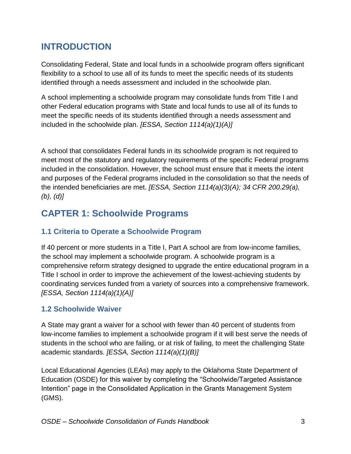# **INTRODUCTION**

Consolidating Federal, State and local funds in a schoolwide program offers significant flexibility to a school to use all of its funds to meet the specific needs of its students identified through a needs assessment and included in the schoolwide plan.

A school implementing a schoolwide program may consolidate funds from Title I and other Federal education programs with State and local funds to use all of its funds to meet the specific needs of its students identified through a needs assessment and included in the schoolwide plan. *[ESSA, Section 1114(a)(1)(A)]*

A school that consolidates Federal funds in its schoolwide program is not required to meet most of the statutory and regulatory requirements of the specific Federal programs included in the consolidation. However, the school must ensure that it meets the intent and purposes of the Federal programs included in the consolidation so that the needs of the intended beneficiaries are met. *[ESSA, Section 1114(a)(3)(A); 34 CFR 200.29(a), (b), (d)]*

# **CAPTER 1: Schoolwide Programs**

## **1.1 Criteria to Operate a Schoolwide Program**

If 40 percent or more students in a Title I, Part A school are from low-income families, the school may implement a schoolwide program. A schoolwide program is a comprehensive reform strategy designed to upgrade the entire educational program in a Title I school in order to improve the achievement of the lowest-achieving students by coordinating services funded from a variety of sources into a comprehensive framework. *[ESSA, Section 1114(a)(1)(A)]*

## **1.2 Schoolwide Waiver**

A State may grant a waiver for a school with fewer than 40 percent of students from low-income families to implement a schoolwide program if it will best serve the needs of students in the school who are failing, or at risk of failing, to meet the challenging State academic standards. *[ESSA, Section 1114(a)(1)(B)]*

Local Educational Agencies (LEAs) may apply to the Oklahoma State Department of Education (OSDE) for this waiver by completing the "Schoolwide/Targeted Assistance Intention" page in the Consolidated Application in the Grants Management System (GMS).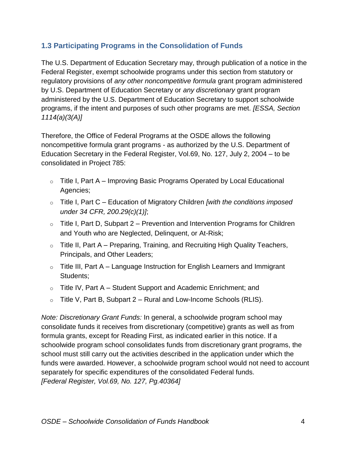## **1.3 Participating Programs in the Consolidation of Funds**

The U.S. Department of Education Secretary may, through publication of a notice in the Federal Register, exempt schoolwide programs under this section from statutory or regulatory provisions of *any other noncompetitive formula* grant program administered by U.S. Department of Education Secretary or *any discretionary* grant program administered by the U.S. Department of Education Secretary to support schoolwide programs, if the intent and purposes of such other programs are met. *[ESSA, Section 1114(a)(3(A)]*

Therefore, the Office of Federal Programs at the OSDE allows the following noncompetitive formula grant programs - as authorized by the U.S. Department of Education Secretary in the Federal Register, Vol.69, No. 127, July 2, 2004 – to be consolidated in Project 785:

- $\circ$  Title I, Part A Improving Basic Programs Operated by Local Educational Agencies;
- o Title I, Part C Education of Migratory Children *[with the conditions imposed under 34 CFR, 200.29(c)(1)]*;
- $\circ$  Title I, Part D, Subpart 2 Prevention and Intervention Programs for Children and Youth who are Neglected, Delinquent, or At-Risk;
- $\circ$  Title II, Part A Preparing, Training, and Recruiting High Quality Teachers, Principals, and Other Leaders;
- $\circ$  Title III, Part A Language Instruction for English Learners and Immigrant Students;
- $\circ$  Title IV, Part A Student Support and Academic Enrichment; and
- $\circ$  Title V, Part B, Subpart 2 Rural and Low-Income Schools (RLIS).

*Note: Discretionary Grant Funds:* In general, a schoolwide program school may consolidate funds it receives from discretionary (competitive) grants as well as from formula grants, except for Reading First, as indicated earlier in this notice. If a schoolwide program school consolidates funds from discretionary grant programs, the school must still carry out the activities described in the application under which the funds were awarded. However, a schoolwide program school would not need to account separately for specific expenditures of the consolidated Federal funds. *[Federal Register, Vol.69, No. 127, Pg.40364]*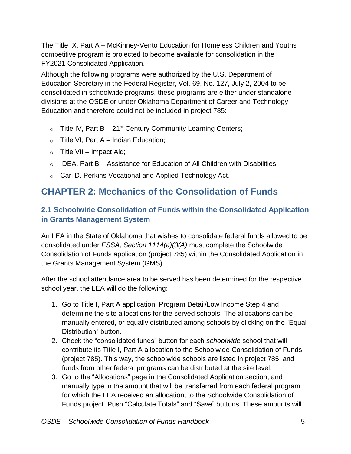The Title IX, Part A – McKinney-Vento Education for Homeless Children and Youths competitive program is projected to become available for consolidation in the FY2021 Consolidated Application.

Although the following programs were authorized by the U.S. Department of Education Secretary in the Federal Register, Vol. 69, No. 127, July 2, 2004 to be consolidated in schoolwide programs, these programs are either under standalone divisions at the OSDE or under Oklahoma Department of Career and Technology Education and therefore could not be included in project 785:

- $\circ$  Title IV, Part B 21<sup>st</sup> Century Community Learning Centers;
- $\circ$  Title VI, Part A Indian Education;
- $\circ$  Title VII Impact Aid;
- $\circ$  IDEA, Part B Assistance for Education of All Children with Disabilities;
- o Carl D. Perkins Vocational and Applied Technology Act.

# **CHAPTER 2: Mechanics of the Consolidation of Funds**

## **2.1 Schoolwide Consolidation of Funds within the Consolidated Application in Grants Management System**

An LEA in the State of Oklahoma that wishes to consolidate federal funds allowed to be consolidated under *ESSA, Section 1114(a)(3(A)* must complete the Schoolwide Consolidation of Funds application (project 785) within the Consolidated Application in the Grants Management System (GMS).

After the school attendance area to be served has been determined for the respective school year, the LEA will do the following:

- 1. Go to Title I, Part A application, Program Detail/Low Income Step 4 and determine the site allocations for the served schools. The allocations can be manually entered, or equally distributed among schools by clicking on the "Equal Distribution" button.
- 2. Check the "consolidated funds" button for each *schoolwide* school that will contribute its Title I, Part A allocation to the Schoolwide Consolidation of Funds (project 785). This way, the schoolwide schools are listed in project 785, and funds from other federal programs can be distributed at the site level.
- 3. Go to the "Allocations" page in the Consolidated Application section, and manually type in the amount that will be transferred from each federal program for which the LEA received an allocation, to the Schoolwide Consolidation of Funds project. Push "Calculate Totals" and "Save" buttons. These amounts will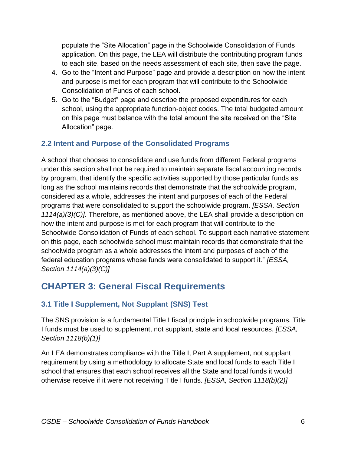populate the "Site Allocation" page in the Schoolwide Consolidation of Funds application. On this page, the LEA will distribute the contributing program funds to each site, based on the needs assessment of each site, then save the page.

- 4. Go to the "Intent and Purpose" page and provide a description on how the intent and purpose is met for each program that will contribute to the Schoolwide Consolidation of Funds of each school.
- 5. Go to the "Budget" page and describe the proposed expenditures for each school, using the appropriate function-object codes. The total budgeted amount on this page must balance with the total amount the site received on the "Site Allocation" page.

## **2.2 Intent and Purpose of the Consolidated Programs**

A school that chooses to consolidate and use funds from different Federal programs under this section shall not be required to maintain separate fiscal accounting records, by program, that identify the specific activities supported by those particular funds as long as the school maintains records that demonstrate that the schoolwide program, considered as a whole, addresses the intent and purposes of each of the Federal programs that were consolidated to support the schoolwide program. *[ESSA, Section 1114(a)(3)(C)].* Therefore, as mentioned above, the LEA shall provide a description on how the intent and purpose is met for each program that will contribute to the Schoolwide Consolidation of Funds of each school. To support each narrative statement on this page, each schoolwide school must maintain records that demonstrate that the schoolwide program as a whole addresses the intent and purposes of each of the federal education programs whose funds were consolidated to support it." *[ESSA, Section 1114(a)(3)(C)]*

# **CHAPTER 3: General Fiscal Requirements**

## **3.1 Title I Supplement, Not Supplant (SNS) Test**

The SNS provision is a fundamental Title I fiscal principle in schoolwide programs. Title I funds must be used to supplement, not supplant, state and local resources. *[ESSA, Section 1118(b)(1)]*

An LEA demonstrates compliance with the Title I, Part A supplement, not supplant requirement by using a methodology to allocate State and local funds to each Title I school that ensures that each school receives all the State and local funds it would otherwise receive if it were not receiving Title I funds. *[ESSA, Section 1118(b)(2)]*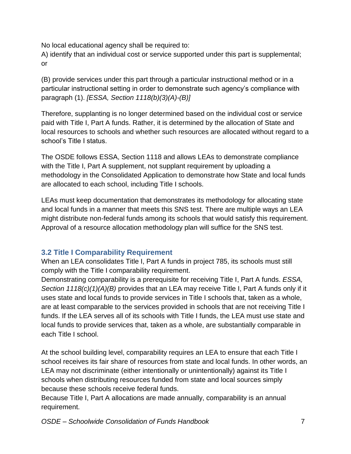No local educational agency shall be required to:

A) identify that an individual cost or service supported under this part is supplemental; or

(B) provide services under this part through a particular instructional method or in a particular instructional setting in order to demonstrate such agency's compliance with paragraph (1). *[ESSA, Section 1118(b)(3)(A)-(B)]*

Therefore, supplanting is no longer determined based on the individual cost or service paid with Title I, Part A funds. Rather, it is determined by the allocation of State and local resources to schools and whether such resources are allocated without regard to a school's Title I status.

The OSDE follows ESSA, Section 1118 and allows LEAs to demonstrate compliance with the Title I, Part A supplement, not supplant requirement by uploading a methodology in the Consolidated Application to demonstrate how State and local funds are allocated to each school, including Title I schools.

LEAs must keep documentation that demonstrates its methodology for allocating state and local funds in a manner that meets this SNS test. There are multiple ways an LEA might distribute non-federal funds among its schools that would satisfy this requirement. Approval of a resource allocation methodology plan will suffice for the SNS test.

## **3.2 Title I Comparability Requirement**

When an LEA consolidates Title I, Part A funds in project 785, its schools must still comply with the Title I comparability requirement.

Demonstrating comparability is a prerequisite for receiving Title I, Part A funds. *ESSA, Section 1118(c)(1)(A)(B)* provides that an LEA may receive Title I, Part A funds only if it uses state and local funds to provide services in Title I schools that, taken as a whole, are at least comparable to the services provided in schools that are not receiving Title I funds. If the LEA serves all of its schools with Title I funds, the LEA must use state and local funds to provide services that, taken as a whole, are substantially comparable in each Title I school.

At the school building level, comparability requires an LEA to ensure that each Title I school receives its fair share of resources from state and local funds. In other words, an LEA may not discriminate (either intentionally or unintentionally) against its Title I schools when distributing resources funded from state and local sources simply because these schools receive federal funds.

Because Title I, Part A allocations are made annually, comparability is an annual requirement.

*OSDE – Schoolwide Consolidation of Funds Handbook* 7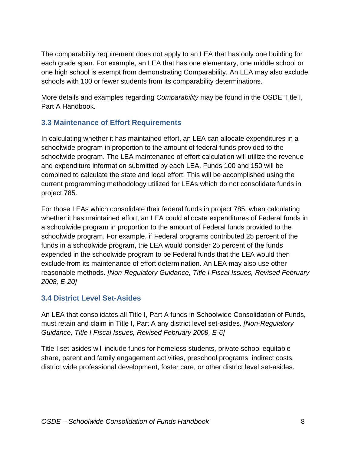The comparability requirement does not apply to an LEA that has only one building for each grade span. For example, an LEA that has one elementary, one middle school or one high school is exempt from demonstrating Comparability. An LEA may also exclude schools with 100 or fewer students from its comparability determinations.

More details and examples regarding *Comparability* may be found in the OSDE Title I, Part A Handbook.

#### **3.3 Maintenance of Effort Requirements**

In calculating whether it has maintained effort, an LEA can allocate expenditures in a schoolwide program in proportion to the amount of federal funds provided to the schoolwide program. The LEA maintenance of effort calculation will utilize the revenue and expenditure information submitted by each LEA. Funds 100 and 150 will be combined to calculate the state and local effort. This will be accomplished using the current programming methodology utilized for LEAs which do not consolidate funds in project 785.

For those LEAs which consolidate their federal funds in project 785, when calculating whether it has maintained effort, an LEA could allocate expenditures of Federal funds in a schoolwide program in proportion to the amount of Federal funds provided to the schoolwide program. For example, if Federal programs contributed 25 percent of the funds in a schoolwide program, the LEA would consider 25 percent of the funds expended in the schoolwide program to be Federal funds that the LEA would then exclude from its maintenance of effort determination. An LEA may also use other reasonable methods. *[Non-Regulatory Guidance, Title I Fiscal Issues, Revised February 2008, E-20]*

#### **3.4 District Level Set-Asides**

An LEA that consolidates all Title I, Part A funds in Schoolwide Consolidation of Funds, must retain and claim in Title I, Part A any district level set-asides. *[Non-Regulatory Guidance, Title I Fiscal Issues, Revised February 2008, E-6]*

Title I set-asides will include funds for homeless students, private school equitable share, parent and family engagement activities, preschool programs, indirect costs, district wide professional development, foster care, or other district level set-asides.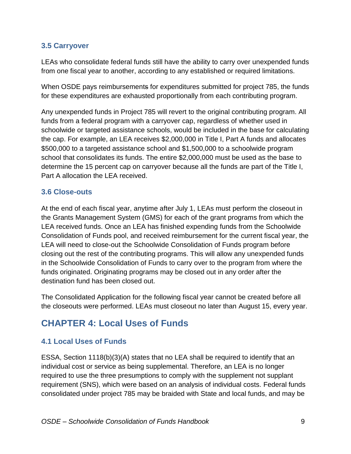#### **3.5 Carryover**

LEAs who consolidate federal funds still have the ability to carry over unexpended funds from one fiscal year to another, according to any established or required limitations.

When OSDE pays reimbursements for expenditures submitted for project 785, the funds for these expenditures are exhausted proportionally from each contributing program.

Any unexpended funds in Project 785 will revert to the original contributing program. All funds from a federal program with a carryover cap, regardless of whether used in schoolwide or targeted assistance schools, would be included in the base for calculating the cap. For example, an LEA receives \$2,000,000 in Title I, Part A funds and allocates \$500,000 to a targeted assistance school and \$1,500,000 to a schoolwide program school that consolidates its funds. The entire \$2,000,000 must be used as the base to determine the 15 percent cap on carryover because all the funds are part of the Title I, Part A allocation the LEA received.

#### **3.6 Close-outs**

At the end of each fiscal year, anytime after July 1, LEAs must perform the closeout in the Grants Management System (GMS) for each of the grant programs from which the LEA received funds. Once an LEA has finished expending funds from the Schoolwide Consolidation of Funds pool, and received reimbursement for the current fiscal year, the LEA will need to close-out the Schoolwide Consolidation of Funds program before closing out the rest of the contributing programs. This will allow any unexpended funds in the Schoolwide Consolidation of Funds to carry over to the program from where the funds originated. Originating programs may be closed out in any order after the destination fund has been closed out.

The Consolidated Application for the following fiscal year cannot be created before all the closeouts were performed. LEAs must closeout no later than August 15, every year.

# **CHAPTER 4: Local Uses of Funds**

## **4.1 Local Uses of Funds**

ESSA, Section 1118(b)(3)(A) states that no LEA shall be required to identify that an individual cost or service as being supplemental. Therefore, an LEA is no longer required to use the three presumptions to comply with the supplement not supplant requirement (SNS), which were based on an analysis of individual costs. Federal funds consolidated under project 785 may be braided with State and local funds, and may be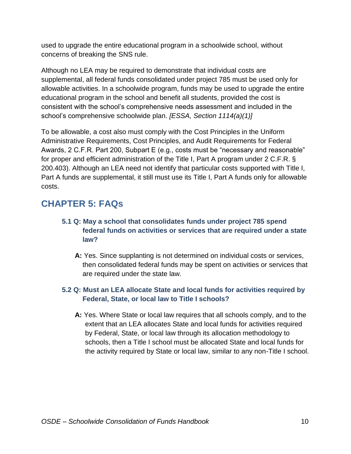used to upgrade the entire educational program in a schoolwide school, without concerns of breaking the SNS rule.

Although no LEA may be required to demonstrate that individual costs are supplemental, all federal funds consolidated under project 785 must be used only for allowable activities. In a schoolwide program, funds may be used to upgrade the entire educational program in the school and benefit all students, provided the cost is consistent with the school's comprehensive needs assessment and included in the school's comprehensive schoolwide plan. *[ESSA, Section 1114(a)(1)]* 

To be allowable, a cost also must comply with the Cost Principles in the Uniform Administrative Requirements, Cost Principles, and Audit Requirements for Federal Awards, 2 C.F.R. Part 200, Subpart E (e.g., costs must be "necessary and reasonable" for proper and efficient administration of the Title I, Part A program under 2 C.F.R. § 200.403). Although an LEA need not identify that particular costs supported with Title I, Part A funds are supplemental, it still must use its Title I, Part A funds only for allowable costs.

## **CHAPTER 5: FAQs**

- **5.1 Q: May a school that consolidates funds under project 785 spend federal funds on activities or services that are required under a state law?**
	- **A:** Yes. Since supplanting is not determined on individual costs or services, then consolidated federal funds may be spent on activities or services that are required under the state law.

#### **5.2 Q: Must an LEA allocate State and local funds for activities required by Federal, State, or local law to Title I schools?**

**A:** Yes. Where State or local law requires that all schools comply, and to the extent that an LEA allocates State and local funds for activities required by Federal, State, or local law through its allocation methodology to schools, then a Title I school must be allocated State and local funds for the activity required by State or local law, similar to any non-Title I school.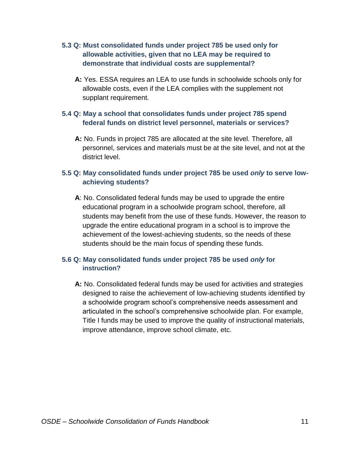#### **5.3 Q: Must consolidated funds under project 785 be used only for allowable activities, given that no LEA may be required to demonstrate that individual costs are supplemental?**

**A:** Yes. ESSA requires an LEA to use funds in schoolwide schools only for allowable costs, even if the LEA complies with the supplement not supplant requirement.

#### **5.4 Q: May a school that consolidates funds under project 785 spend federal funds on district level personnel, materials or services?**

**A:** No. Funds in project 785 are allocated at the site level. Therefore, all personnel, services and materials must be at the site level, and not at the district level.

#### **5.5 Q: May consolidated funds under project 785 be used** *only* **to serve lowachieving students?**

**A**: No. Consolidated federal funds may be used to upgrade the entire educational program in a schoolwide program school, therefore, all students may benefit from the use of these funds. However, the reason to upgrade the entire educational program in a school is to improve the achievement of the lowest-achieving students, so the needs of these students should be the main focus of spending these funds.

#### **5.6 Q: May consolidated funds under project 785 be used** *only* **for instruction?**

**A:** No. Consolidated federal funds may be used for activities and strategies designed to raise the achievement of low-achieving students identified by a schoolwide program school's comprehensive needs assessment and articulated in the school's comprehensive schoolwide plan. For example, Title I funds may be used to improve the quality of instructional materials, improve attendance, improve school climate, etc.